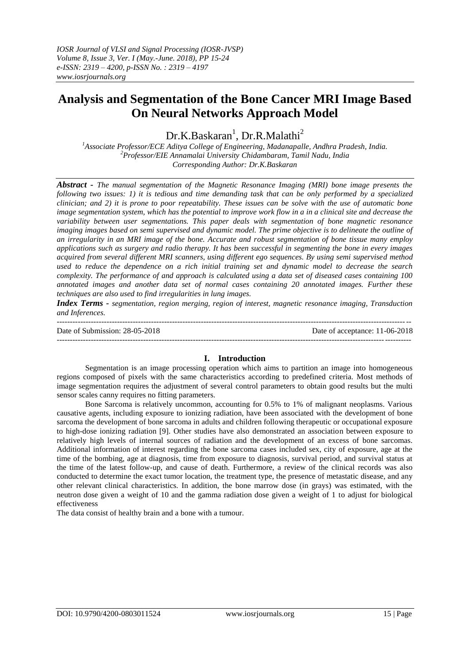# **Analysis and Segmentation of the Bone Cancer MRI Image Based On Neural Networks Approach Model**

Dr.K.Baskaran<sup>1</sup>, Dr.R.Malathi<sup>2</sup>

*<sup>1</sup>Associate Professor/ECE Aditya College of Engineering, Madanapalle, Andhra Pradesh, India. <sup>2</sup>Professor/EIE Annamalai University Chidambaram, Tamil Nadu, India Corresponding Author: Dr.K.Baskaran*

*Abstract - The manual segmentation of the Magnetic Resonance Imaging (MRI) bone image presents the following two issues: 1) it is tedious and time demanding task that can be only performed by a specialized clinician; and 2) it is prone to poor repeatability. These issues can be solve with the use of automatic bone image segmentation system, which has the potential to improve work flow in a in a clinical site and decrease the variability between user segmentations. This paper deals with segmentation of bone magnetic resonance imaging images based on semi supervised and dynamic model. The prime objective is to delineate the outline of an irregularity in an MRI image of the bone. Accurate and robust segmentation of bone tissue many employ applications such as surgery and radio therapy. It has been successful in segmenting the bone in every images acquired from several different MRI scanners, using different ego sequences. By using semi supervised method used to reduce the dependence on a rich initial training set and dynamic model to decrease the search complexity. The performance of and approach is calculated using a data set of diseased cases containing 100 annotated images and another data set of normal cases containing 20 annotated images. Further these techniques are also used to find irregularities in lung images.*

*Index Terms - segmentation, region merging, region of interest, magnetic resonance imaging, Transduction and Inferences.*

--------------------------------------------------------------------------------------------------------------------------------------- Date of Submission: 28-05-2018 Date of acceptance: 11-06-2018 ---------------------------------------------------------------------------------------------------------------------------------------

## **I. Introduction**

Segmentation is an image processing operation which aims to partition an image into homogeneous regions composed of pixels with the same characteristics according to predefined criteria. Most methods of image segmentation requires the adjustment of several control parameters to obtain good results but the multi sensor scales canny requires no fitting parameters.

Bone Sarcoma is relatively uncommon, accounting for 0.5% to 1% of malignant neoplasms. Various causative agents, including exposure to ionizing radiation, have been associated with the development of bone sarcoma the development of bone sarcoma in adults and children following therapeutic or occupational exposure to high-dose ionizing radiation [9]. Other studies have also demonstrated an association between exposure to relatively high levels of internal sources of radiation and the development of an excess of bone sarcomas. Additional information of interest regarding the bone sarcoma cases included sex, city of exposure, age at the time of the bombing, age at diagnosis, time from exposure to diagnosis, survival period, and survival status at the time of the latest follow-up, and cause of death. Furthermore, a review of the clinical records was also conducted to determine the exact tumor location, the treatment type, the presence of metastatic disease, and any other relevant clinical characteristics. In addition, the bone marrow dose (in grays) was estimated, with the neutron dose given a weight of 10 and the gamma radiation dose given a weight of 1 to adjust for biological effectiveness

The data consist of healthy brain and a bone with a tumour.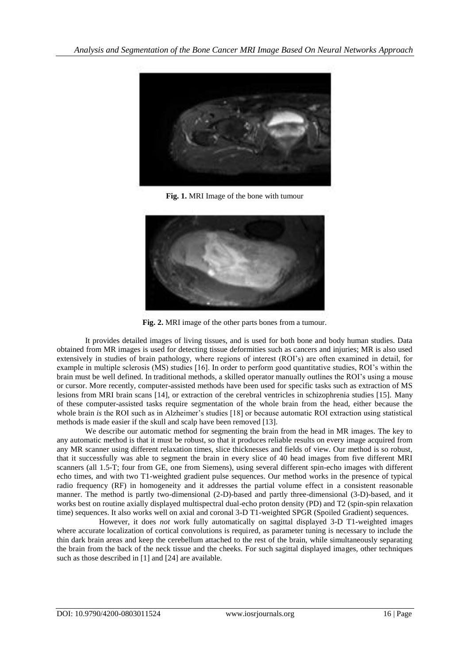

**Fig. 1.** MRI Image of the bone with tumour



**Fig. 2.** MRI image of the other parts bones from a tumour.

It provides detailed images of living tissues, and is used for both bone and body human studies. Data obtained from MR images is used for detecting tissue deformities such as cancers and injuries; MR is also used extensively in studies of brain pathology, where regions of interest (ROI's) are often examined in detail, for example in multiple sclerosis (MS) studies [16]. In order to perform good quantitative studies, ROI's within the brain must be well defined. In traditional methods, a skilled operator manually outlines the ROI's using a mouse or cursor. More recently, computer-assisted methods have been used for specific tasks such as extraction of MS lesions from MRI brain scans [14], or extraction of the cerebral ventricles in schizophrenia studies [15]. Many of these computer-assisted tasks require segmentation of the whole brain from the head, either because the whole brain *is* the ROI such as in Alzheimer's studies [18] or because automatic ROI extraction using statistical methods is made easier if the skull and scalp have been removed [13].

We describe our automatic method for segmenting the brain from the head in MR images. The key to any automatic method is that it must be robust, so that it produces reliable results on every image acquired from any MR scanner using different relaxation times, slice thicknesses and fields of view. Our method is so robust, that it successfully was able to segment the brain in every slice of 40 head images from five different MRI scanners (all 1.5-T; four from GE, one from Siemens), using several different spin-echo images with different echo times, and with two T1-weighted gradient pulse sequences. Our method works in the presence of typical radio frequency (RF) in homogeneity and it addresses the partial volume effect in a consistent reasonable manner. The method is partly two-dimensional (2-D)-based and partly three-dimensional (3-D)-based, and it works best on routine axially displayed multispectral dual-echo proton density (PD) and T2 (spin-spin relaxation time) sequences. It also works well on axial and coronal 3-D T1-weighted SPGR (Spoiled Gradient) sequences.

 However, it does *not* work fully automatically on sagittal displayed 3-D T1-weighted images where accurate localization of cortical convolutions is required, as parameter tuning is necessary to include the thin dark brain areas and keep the cerebellum attached to the rest of the brain, while simultaneously separating the brain from the back of the neck tissue and the cheeks. For such sagittal displayed images, other techniques such as those described in [1] and [24] are available.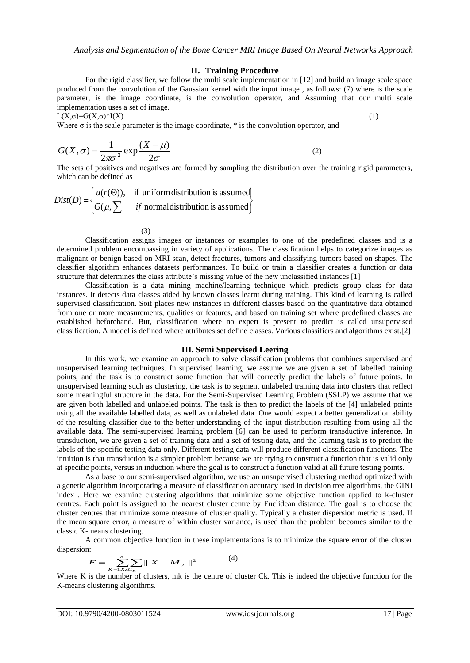## **II. Training Procedure**

For the rigid classifier, we follow the multi scale implementation in [12] and build an image scale space produced from the convolution of the Gaussian kernel with the input image , as follows: (7) where is the scale parameter, is the image coordinate, is the convolution operator, and Assuming that our multi scale implementation uses a set of image.

 $L(X,\sigma)=G(X,\sigma)^*[X]$  (1)

Where  $\sigma$  is the scale parameter is the image coordinate,  $*$  is the convolution operator, and

$$
G(X,\sigma) = \frac{1}{2\pi\sigma^2} \exp\frac{(X-\mu)}{2\sigma}
$$
 (2)

The sets of positives and negatives are formed by sampling the distribution over the training rigid parameters, which can be defined as

$$
Dist(D) = \begin{cases} u(r(\Theta)), & \text{if uniform distribution is assumed} \\ G(\mu, \sum \text{if normal distribution is assumed}) \end{cases}
$$

(3)

Classification assigns images or instances or examples to one of the predefined classes and is a determined problem encompassing in variety of applications. The classification helps to categorize images as malignant or benign based on MRI scan, detect fractures, tumors and classifying tumors based on shapes. The classifier algorithm enhances datasets performances. To build or train a classifier creates a function or data structure that determines the class attribute's missing value of the new unclassified instances [1]

Classification is a data mining machine/learning technique which predicts group class for data instances. It detects data classes aided by known classes learnt during training. This kind of learning is called supervised classification. Soit places new instances in different classes based on the quantitative data obtained from one or more measurements, qualities or features, and based on training set where predefined classes are established beforehand. But, classification where no expert is present to predict is called unsupervised classification. A model is defined where attributes set define classes. Various classifiers and algorithms exist.[2]

## **III. Semi Supervised Leering**

In this work, we examine an approach to solve classification problems that combines supervised and unsupervised learning techniques. In supervised learning, we assume we are given a set of labelled training points, and the task is to construct some function that will correctly predict the labels of future points. In unsupervised learning such as clustering, the task is to segment unlabeled training data into clusters that reflect some meaningful structure in the data. For the Semi-Supervised Learning Problem (SSLP) we assume that we are given both labelled and unlabeled points. The task is then to predict the labels of the [4] unlabeled points using all the available labelled data, as well as unlabeled data. One would expect a better generalization ability of the resulting classifier due to the better understanding of the input distribution resulting from using all the available data. The semi-supervised learning problem [6] can be used to perform transductive inference. In transduction, we are given a set of training data and a set of testing data, and the learning task is to predict the labels of the specific testing data only. Different testing data will produce different classification functions. The intuition is that transduction is a simpler problem because we are trying to construct a function that is valid only at specific points, versus in induction where the goal is to construct a function valid at all future testing points.

As a base to our semi-supervised algorithm, we use an unsupervised clustering method optimized with a genetic algorithm incorporating a measure of classification accuracy used in decision tree algorithms, the GINI index . Here we examine clustering algorithms that minimize some objective function applied to k-cluster centres. Each point is assigned to the nearest cluster centre by Euclidean distance. The goal is to choose the cluster centres that minimize some measure of cluster quality. Typically a cluster dispersion metric is used. If the mean square error, a measure of within cluster variance, is used than the problem becomes similar to the classic K-means clustering.

A common objective function in these implementations is to minimize the square error of the cluster dispersion:

$$
E = \sum_{K-1}^{K} \sum_{X \in C_K} ||X - M_J||^2 \tag{4}
$$

Where K is the number of clusters, mk is the centre of cluster Ck. This is indeed the objective function for the K-means clustering algorithms.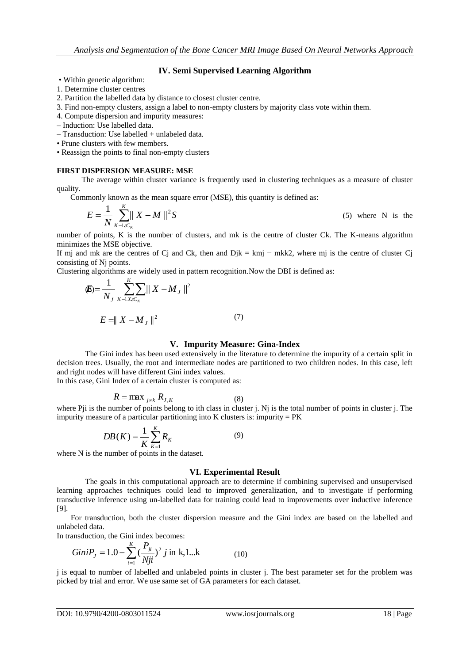# **IV. Semi Supervised Learning Algorithm**

- Within genetic algorithm:
- 1. Determine cluster centres
- 2. Partition the labelled data by distance to closest cluster centre.
- 3. Find non-empty clusters, assign a label to non-empty clusters by majority class vote within them.
- 4. Compute dispersion and impurity measures:
- Induction: Use labelled data.
- Transduction: Use labelled + unlabeled data.
- Prune clusters with few members.
- Reassign the points to final non-empty clusters

#### **FIRST DISPERSION MEASURE: MSE**

The average within cluster variance is frequently used in clustering techniques as a measure of cluster quality.

Commonly known as the mean square error (MSE), this quantity is defined as:

$$
E = \frac{1}{N} \sum_{K-1 \leq C_K}^{K} ||X - M||^2 S
$$
 (5) where N is the

number of points, K is the number of clusters, and mk is the centre of cluster Ck. The K-means algorithm minimizes the MSE objective.

If mj and mk are the centres of Cj and Ck, then and Djk = kmj − mkk2, where mj is the centre of cluster Cj consisting of Nj points.

Clustering algorithms are widely used in pattern recognition.Now the DBI is defined as:

$$
\langle E \rangle = \frac{1}{N_J} \sum_{K-1XeC_K}^{K} ||X - M_J||^2
$$
  

$$
E = ||X - M_J||^2
$$
 (7)

#### **V. Impurity Measure: Gina-Index**

The Gini index has been used extensively in the literature to determine the impurity of a certain split in decision trees. Usually, the root and intermediate nodes are partitioned to two children nodes. In this case, left and right nodes will have different Gini index values.

In this case, Gini Index of a certain cluster is computed as:

$$
R = \max_{j \neq k} R_{J,K} \tag{8}
$$

where Pji is the number of points belong to ith class in cluster j. Nj is the total number of points in cluster j. The impurity measure of a particular partitioning into K clusters is: impurity  $= PK$ 

$$
DB(K) = \frac{1}{K} \sum_{K=1}^{K} R_K \tag{9}
$$

where N is the number of points in the dataset.

#### **VI. Experimental Result**

The goals in this computational approach are to determine if combining supervised and unsupervised learning approaches techniques could lead to improved generalization, and to investigate if performing transductive inference using un-labelled data for training could lead to improvements over inductive inference [9].

 For transduction, both the cluster dispersion measure and the Gini index are based on the labelled and unlabeled data.

In transduction, the Gini index becomes:

$$
GiniP_{j} = 1.0 - \sum_{i=1}^{K} \left(\frac{P_{ji}}{Nji}\right)^{2} j \text{ in } k, 1...k
$$
 (10)

j is equal to number of labelled and unlabeled points in cluster j. The best parameter set for the problem was picked by trial and error. We use same set of GA parameters for each dataset.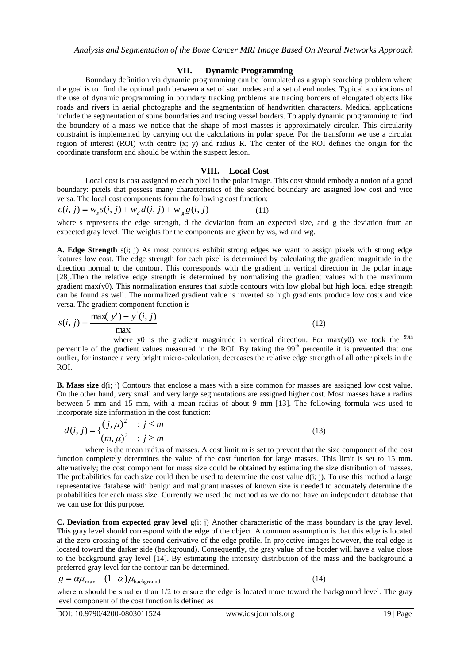# **VII. Dynamic Programming**

Boundary definition via dynamic programming can be formulated as a graph searching problem where the goal is to find the optimal path between a set of start nodes and a set of end nodes. Typical applications of the use of dynamic programming in boundary tracking problems are tracing borders of elongated objects like roads and rivers in aerial photographs and the segmentation of handwritten characters. Medical applications include the segmentation of spine boundaries and tracing vessel borders. To apply dynamic programming to find the boundary of a mass we notice that the shape of most masses is approximately circular. This circularity constraint is implemented by carrying out the calculations in polar space. For the transform we use a circular region of interest (ROI) with centre (x; y) and radius R. The center of the ROI defines the origin for the coordinate transform and should be within the suspect lesion.

# **VIII. Local Cost**

Local cost is cost assigned to each pixel in the polar image. This cost should embody a notion of a good boundary: pixels that possess many characteristics of the searched boundary are assigned low cost and vice versa. The local cost components form the following cost function:

$$
c(i, j) = w_s s(i, j) + w_d d(i, j) + w_g g(i, j)
$$
\n(11)

where s represents the edge strength, d the deviation from an expected size, and g the deviation from an expected gray level. The weights for the components are given by ws, wd and wg.

**A. Edge Strength** s(i; j) As most contours exhibit strong edges we want to assign pixels with strong edge features low cost. The edge strength for each pixel is determined by calculating the gradient magnitude in the direction normal to the contour. This corresponds with the gradient in vertical direction in the polar image [28].Then the relative edge strength is determined by normalizing the gradient values with the maximum gradient max $(y0)$ . This normalization ensures that subtle contours with low global but high local edge strength can be found as well. The normalized gradient value is inverted so high gradients produce low costs and vice versa. The gradient component function is

$$
s(i, j) = \frac{\max(y') - y'(i, j)}{\max}
$$
 (12)

where y0 is the gradient magnitude in vertical direction. For  $max(y0)$  we took the <sup>99th</sup> percentile of the gradient values measured in the ROI. By taking the 99<sup>th</sup> percentile it is prevented that one outlier, for instance a very bright micro-calculation, decreases the relative edge strength of all other pixels in the ROI.

**B. Mass size** d(i; j) Contours that enclose a mass with a size common for masses are assigned low cost value. On the other hand, very small and very large segmentations are assigned higher cost. Most masses have a radius between 5 mm and 15 mm, with a mean radius of about 9 mm [13]. The following formula was used to incorporate size information in the cost function:

$$
d(i, j) = \{ \frac{(j, \mu)^2}{(m, \mu)^2} : j \le m \tag{13}
$$

where is the mean radius of masses. A cost limit m is set to prevent that the size component of the cost function completely determines the value of the cost function for large masses. This limit is set to 15 mm. alternatively; the cost component for mass size could be obtained by estimating the size distribution of masses. The probabilities for each size could then be used to determine the cost value  $d(i; j)$ . To use this method a large representative database with benign and malignant masses of known size is needed to accurately determine the probabilities for each mass size. Currently we used the method as we do not have an independent database that we can use for this purpose.

**C. Deviation from expected gray level** g(i; j) Another characteristic of the mass boundary is the gray level. This gray level should correspond with the edge of the object. A common assumption is that this edge is located at the zero crossing of the second derivative of the edge profile. In projective images however, the real edge is located toward the darker side (background). Consequently, the gray value of the border will have a value close to the background gray level [14]. By estimating the intensity distribution of the mass and the background a preferred gray level for the contour can be determined.

$$
g = \alpha \mu_{\text{max}} + (1 - \alpha) \mu_{\text{background}}
$$

(14)

where  $\alpha$  should be smaller than 1/2 to ensure the edge is located more toward the background level. The gray level component of the cost function is defined as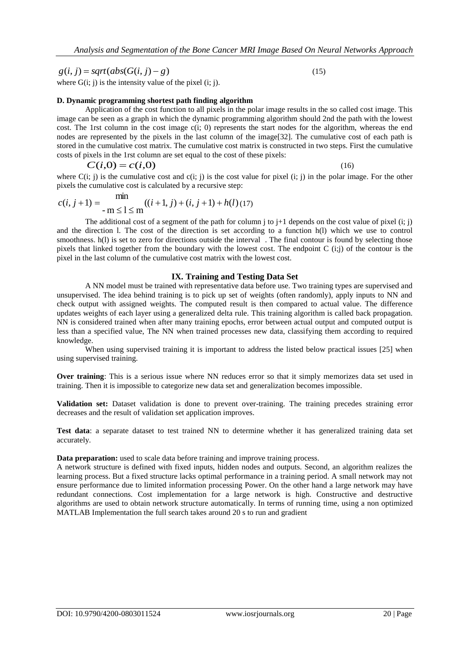$g(i, j) = sqrt(abs(G(i, j) - g)$ 

(15)

where  $G(i; j)$  is the intensity value of the pixel  $(i; j)$ .

#### **D. Dynamic programming shortest path finding algorithm**

Application of the cost function to all pixels in the polar image results in the so called cost image. This image can be seen as a graph in which the dynamic programming algorithm should 2nd the path with the lowest cost. The 1rst column in the cost image  $c(i; 0)$  represents the start nodes for the algorithm, whereas the end nodes are represented by the pixels in the last column of the image[32]. The cumulative cost of each path is stored in the cumulative cost matrix. The cumulative cost matrix is constructed in two steps. First the cumulative costs of pixels in the 1rst column are set equal to the cost of these pixels:

$$
C(i,0) = c(i,0)
$$
 (16)

where  $C(i; j)$  is the cumulative cost and  $c(i; j)$  is the cost value for pixel  $(i; j)$  in the polar image. For the other pixels the cumulative cost is calculated by a recursive step:

$$
c(i, j+1) = \min_{-m \le l \le m} ((i+1, j) + (i, j+1) + h(l) (17)
$$

The additional cost of a segment of the path for column  $\mathbf{j}$  to  $\mathbf{j}+1$  depends on the cost value of pixel (i; j) and the direction l. The cost of the direction is set according to a function h(l) which we use to control smoothness. h(l) is set to zero for directions outside the interval . The final contour is found by selecting those pixels that linked together from the boundary with the lowest cost. The endpoint C (i;j) of the contour is the pixel in the last column of the cumulative cost matrix with the lowest cost.

## **IX. Training and Testing Data Set**

A NN model must be trained with representative data before use. Two training types are supervised and unsupervised. The idea behind training is to pick up set of weights (often randomly), apply inputs to NN and check output with assigned weights. The computed result is then compared to actual value. The difference updates weights of each layer using a generalized delta rule. This training algorithm is called back propagation. NN is considered trained when after many training epochs, error between actual output and computed output is less than a specified value, The NN when trained processes new data, classifying them according to required knowledge.

When using supervised training it is important to address the listed below practical issues [25] when using supervised training.

**Over training**: This is a serious issue where NN reduces error so that it simply memorizes data set used in training. Then it is impossible to categorize new data set and generalization becomes impossible.

**Validation set:** Dataset validation is done to prevent over-training. The training precedes straining error decreases and the result of validation set application improves.

**Test data**: a separate dataset to test trained NN to determine whether it has generalized training data set accurately.

**Data preparation:** used to scale data before training and improve training process.

A network structure is defined with fixed inputs, hidden nodes and outputs. Second, an algorithm realizes the learning process. But a fixed structure lacks optimal performance in a training period. A small network may not ensure performance due to limited information processing Power. On the other hand a large network may have redundant connections. Cost implementation for a large network is high. Constructive and destructive algorithms are used to obtain network structure automatically. In terms of running time, using a non optimized MATLAB Implementation the full search takes around 20 s to run and gradient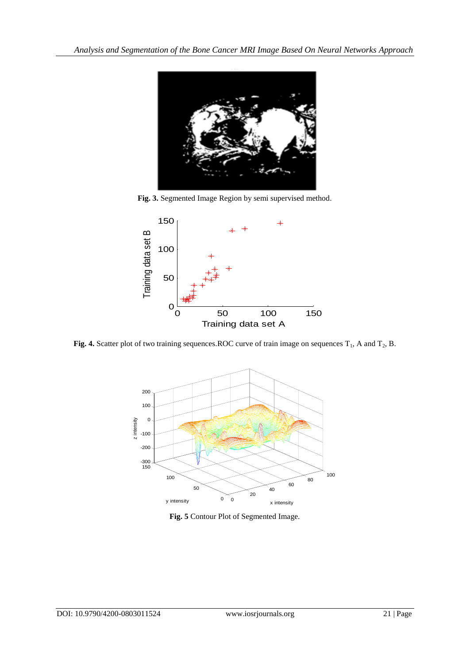

**Fig. 3.** Segmented Image Region by semi supervised method.



Fig. 4. Scatter plot of two training sequences.ROC curve of train image on sequences  $T_1$ , A and  $T_2$ , B.



**Fig. 5** Contour Plot of Segmented Image.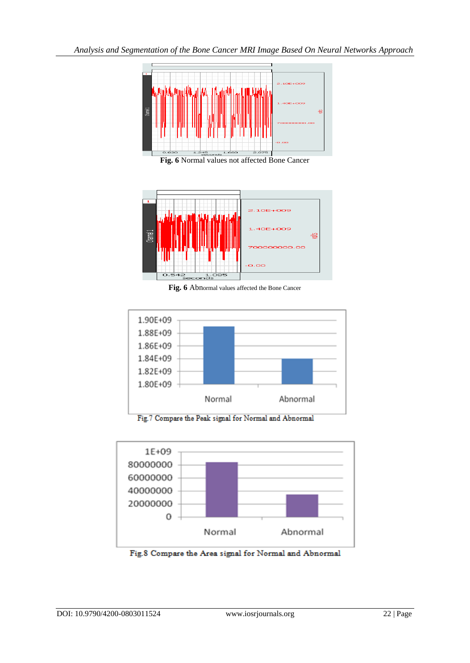

**Fig. 6** Normal values not affected Bone Cancer



Fig. 6 Abnormal values affected the Bone Cancer



Fig.7 Compare the Peak signal for Normal and Abnormal



Fig.8 Compare the Area signal for Normal and Abnormal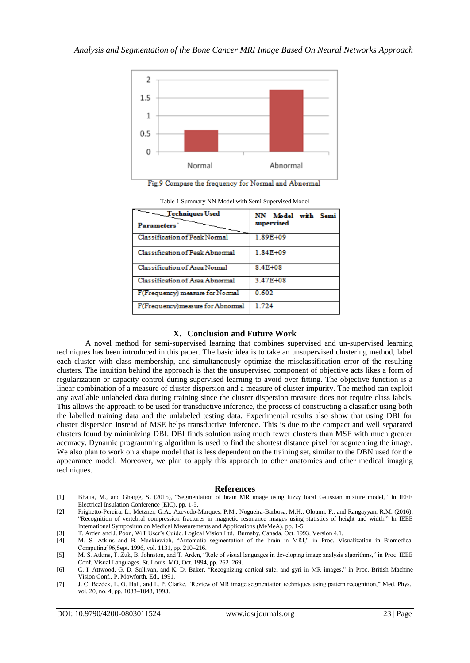

Fig.9 Compare the frequency for Normal and Abnormal

| Techniques Used                   | NN Model with Semi |
|-----------------------------------|--------------------|
| <b>Parameters</b>                 | supervised         |
| Classification of Peak Normal     | 1.89E+09           |
| Classification of Peak Abnormal   | 1.84E+09           |
| Classification of Area Normal     | 8.4E+08            |
| Classification of Area Abnormal   | 3.47E+08           |
| F(Frequency) measure for Normal   | 0.602              |
| F(Frequency) measure for Abnormal | 1.724              |

## **X. Conclusion and Future Work**

A novel method for semi-supervised learning that combines supervised and un-supervised learning techniques has been introduced in this paper. The basic idea is to take an unsupervised clustering method, label each cluster with class membership, and simultaneously optimize the misclassification error of the resulting clusters. The intuition behind the approach is that the unsupervised component of objective acts likes a form of regularization or capacity control during supervised learning to avoid over fitting. The objective function is a linear combination of a measure of cluster dispersion and a measure of cluster impurity. The method can exploit any available unlabeled data during training since the cluster dispersion measure does not require class labels. This allows the approach to be used for transductive inference, the process of constructing a classifier using both the labelled training data and the unlabeled testing data. Experimental results also show that using DBI for cluster dispersion instead of MSE helps transductive inference. This is due to the compact and well separated clusters found by minimizing DBI. DBI finds solution using much fewer clusters than MSE with much greater accuracy. Dynamic programming algorithm is used to find the shortest distance pixel for segmenting the image. We also plan to work on a shape model that is less dependent on the training set, similar to the DBN used for the appearance model. Moreover, we plan to apply this approach to other anatomies and other medical imaging techniques.

#### **References**

- [1]. Bhatia, M., and Gharge, S**.** (2015), "Segmentation of brain MR image using fuzzy local Gaussian mixture model," In IEEE Electrical Insulation Conference (EIC), pp. 1-5.
- [2]. Frighetto-Pereira, L., Metzner, G.A., Azevedo-Marques, P.M., Nogueira-Barbosa, M.H., Oloumi, F., and Rangayyan, R.M. (2016), "Recognition of vertebral compression fractures in magnetic resonance images using statistics of height and width," In IEEE International Symposium on Medical Measurements and Applications (MeMeA), pp. 1-5.

[3]. T. Arden and J. Poon, WiT User's Guide. Logical Vision Ltd., Burnaby, Canada, Oct. 1993, Version 4.1.

[4]. M. S. Atkins and B. Mackiewich, "Automatic segmentation of the brain in MRI," in Proc. Visualization in Biomedical Computing'96,Sept. 1996, vol. 1131, pp. 210–216.

<sup>[5].</sup> M. S. Atkins, T. Zuk, B. Johnston, and T. Arden, "Role of visual languages in developing image analysis algorithms," in Proc. IEEE Conf. Visual Languages, St. Louis, MO, Oct. 1994, pp. 262–269.

<sup>[6].</sup> C. I. Attwood, G. D. Sullivan, and K. D. Baker, "Recognizing cortical sulci and gyri in MR images," in Proc. British Machine Vision Conf., P. Mowforth, Ed., 1991.

<sup>[7].</sup> J. C. Bezdek, L. O. Hall, and L. P. Clarke, "Review of MR image segmentation techniques using pattern recognition," Med. Phys., vol. 20, no. 4, pp. 1033–1048, 1993.